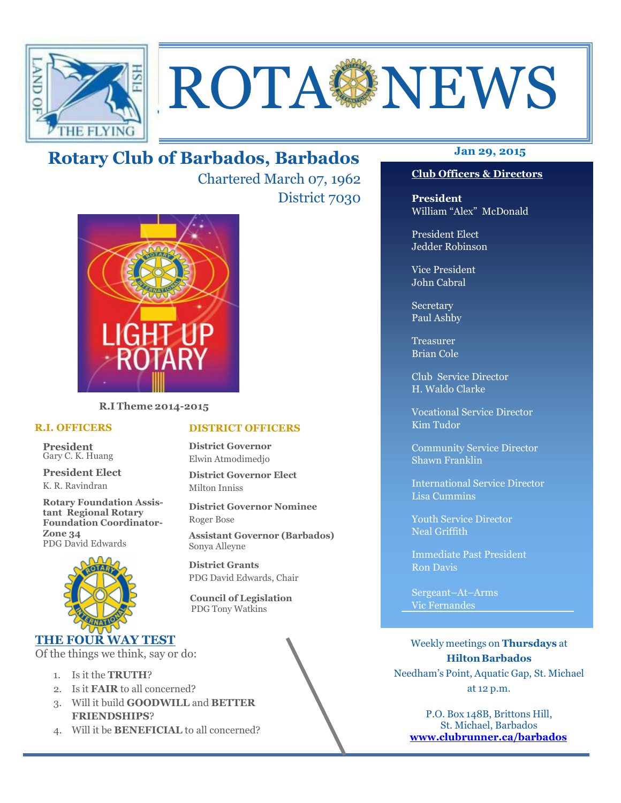

# ROTA NEWS

## **Jan 29, 2015 Rotary Club of Barbados, Barbados**

Chartered March 07, 1962 District 7030



**R.I Theme 2014-2015** 

#### **R.I. OFFICERS**

**President** Gary C. K. Huang

**President Elect** K. R. Ravindran

**Rotary Foundation Assistant Regional Rotary Foundation Coordinator-Zone 34**  PDG David Edwards



#### **THE FOUR WAY TEST**

Of the things we think, say or do:

- 1. Is it the **TRUTH**?
- 2. Is it **FAIR** to all concerned?
- 3. Will it build **GOODWILL** and **BETTER FRIENDSHIPS**?
- 4. Will it be **BENEFICIAL** to all concerned?

## **Club Officers & Directors**

**President** William "Alex" McDonald

President Elect Jedder Robinson

Vice President John Cabral

Secretary Paul Ashby

Treasurer Brian Cole

Club Service Director H. Waldo Clarke

Vocational Service Director Kim Tudor

Community Service Director Shawn Franklin

International Service Director Lisa Cummins

Youth Service Director Neal Griffith

Immediate Past President Ron Davis

Sergeant–At–Arms Vic Fernandes

Weekly meetings on **Thursdays** at **Hilton Barbados** Needham's Point, Aquatic Gap, St. Michael at 12 p.m.

P.O. Box 148B, Brittons Hill, St. Michael, Barbados **www.clubrunner.ca/barbados**

#### **DISTRICT OFFICERS**

**District Governor** Elwin Atmodimedjo

**District Governor Elect** Milton Inniss

**District Governor Nominee**  Roger Bose

**Assistant Governor (Barbados)** Sonya Alleyne

**District Grants**  PDG David Edwards, Chair

 **Council of Legislation**  PDG Tony Watkins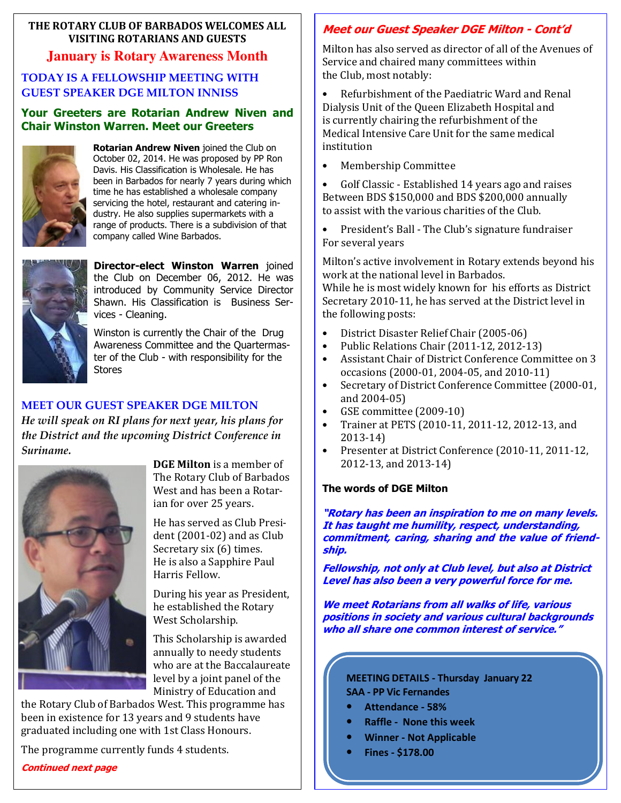#### **THE ROTARY CLUB OF BARBADOS WELCOMES ALL VISITING ROTARIANS AND GUESTS**

#### **January is Rotary Awareness Month**

#### **TODAY IS A FELLOWSHIP MEETING WITH GUEST SPEAKER DGE MILTON INNISS**

#### **Your Greeters are Rotarian Andrew Niven and Chair Winston Warren. Meet our Greeters**



**Rotarian Andrew Niven** joined the Club on October 02, 2014. He was proposed by PP Ron Davis. His Classification is Wholesale. He has been in Barbados for nearly 7 years during which time he has established a wholesale company servicing the hotel, restaurant and catering industry. He also supplies supermarkets with a range of products. There is a subdivision of that company called Wine Barbados.



**Director-elect Winston Warren** joined the Club on December 06, 2012. He was introduced by Community Service Director Shawn. His Classification is Business Services - Cleaning.

Winston is currently the Chair of the Drug Awareness Committee and the Quartermaster of the Club - with responsibility for the **Stores** 

#### **MEET OUR GUEST SPEAKER DGE MILTON**

*He will speak on RI plans for next year, his plans for the District and the upcoming District Conference in Suriname.*



**DGE Milton** is a member of The Rotary Club of Barbados West and has been a Rotarian for over 25 years.

He has served as Club President (2001-02) and as Club Secretary six (6) times. He is also a Sapphire Paul Harris Fellow.

During his year as President, he established the Rotary West Scholarship.

This Scholarship is awarded annually to needy students who are at the Baccalaureate level by a joint panel of the Ministry of Education and

the Rotary Club of Barbados West. This programme has been in existence for 13 years and 9 students have graduated including one with 1st Class Honours.

The programme currently funds 4 students.

## **Continued next page**

### **Meet our Guest Speaker DGE Milton - Cont'd**

Milton has also served as director of all of the Avenues of Service and chaired many committees within the Club, most notably:

• Refurbishment of the Paediatric Ward and Renal Dialysis Unit of the Queen Elizabeth Hospital and is currently chairing the refurbishment of the Medical Intensive Care Unit for the same medical institution

• Membership Committee

• Golf Classic - Established 14 years ago and raises Between BDS \$150,000 and BDS \$200,000 annually to assist with the various charities of the Club.

• President's Ball - The Club's signature fundraiser For several years

Milton's active involvement in Rotary extends beyond his work at the national level in Barbados.

While he is most widely known for his efforts as District Secretary 2010-11, he has served at the District level in the following posts:

- District Disaster Relief Chair (2005-06)
- Public Relations Chair (2011-12, 2012-13)
- Assistant Chair of District Conference Committee on 3 occasions (2000-01, 2004-05, and 2010-11)
- Secretary of District Conference Committee (2000-01, and 2004-05)
- GSE committee (2009-10)
- Trainer at PETS (2010-11, 2011-12, 2012-13, and 2013-14)
- Presenter at District Conference (2010-11, 2011-12, 2012-13, and 2013-14)

#### **The words of DGE Milton**

**"Rotary has been an inspiration to me on many levels. It has taught me humility, respect, understanding, commitment, caring, sharing and the value of friendship.** 

**Fellowship, not only at Club level, but also at District Level has also been a very powerful force for me.** 

**We meet Rotarians from all walks of life, various positions in society and various cultural backgrounds who all share one common interest of service."** 

#### **MEETING DETAILS - Thursday January 22 SAA - PP Vic Fernandes**

- **Attendance 58%**
- **Raffle None this week**
- **Winner Not Applicable**
- **Fines \$178.00**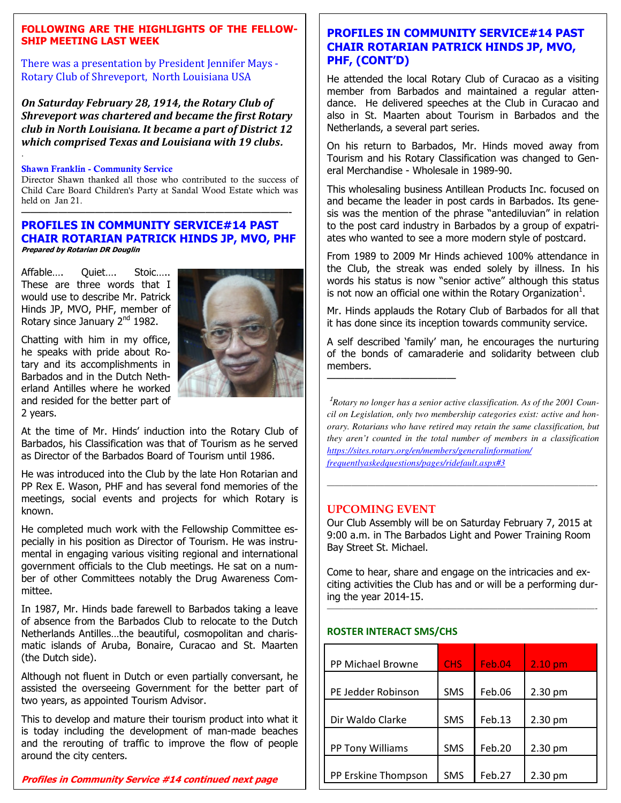#### **FOLLOWING ARE THE HIGHLIGHTS OF THE FELLOW-SHIP MEETING LAST WEEK**

There was a presentation by President Jennifer Mays - Rotary Club of Shreveport, North Louisiana USA

*On Saturday February 28, 1914, the Rotary Club of Shreveport was chartered and became the first Rotary club in North Louisiana. It became a part of District 12 which comprised Texas and Louisiana with 19 clubs***.** 

#### **Shawn Franklin - Community Service**

.

Director Shawn thanked all those who contributed to the success of Child Care Board Children's Party at Sandal Wood Estate which was held on Jan 21.

#### **PROFILES IN COMMUNITY SERVICE#14 PAST CHAIR ROTARIAN PATRICK HINDS JP, MVO, PHF Prepared by Rotarian DR Douglin**

—————————————————————————————-

Affable…. Quiet…. Stoic….. These are three words that I would use to describe Mr. Patrick Hinds JP, MVO, PHF, member of Rotary since January 2<sup>nd</sup> 1982.

Chatting with him in my office, he speaks with pride about Rotary and its accomplishments in Barbados and in the Dutch Netherland Antilles where he worked and resided for the better part of 2 years.



At the time of Mr. Hinds' induction into the Rotary Club of Barbados, his Classification was that of Tourism as he served as Director of the Barbados Board of Tourism until 1986.

He was introduced into the Club by the late Hon Rotarian and PP Rex E. Wason, PHF and has several fond memories of the meetings, social events and projects for which Rotary is known.

He completed much work with the Fellowship Committee especially in his position as Director of Tourism. He was instrumental in engaging various visiting regional and international government officials to the Club meetings. He sat on a number of other Committees notably the Drug Awareness Committee.

In 1987, Mr. Hinds bade farewell to Barbados taking a leave of absence from the Barbados Club to relocate to the Dutch Netherlands Antilles…the beautiful, cosmopolitan and charismatic islands of Aruba, Bonaire, Curacao and St. Maarten (the Dutch side).

Although not fluent in Dutch or even partially conversant, he assisted the overseeing Government for the better part of two years, as appointed Tourism Advisor.

 around the city centers. This to develop and mature their tourism product into what it is today including the development of man-made beaches and the rerouting of traffic to improve the flow of people

#### **Profiles in Community Service #14 continued next page**

#### **PROFILES IN COMMUNITY SERVICE#14 PAST CHAIR ROTARIAN PATRICK HINDS JP, MVO, PHF, (CONT'D)**

He attended the local Rotary Club of Curacao as a visiting member from Barbados and maintained a regular attendance. He delivered speeches at the Club in Curacao and also in St. Maarten about Tourism in Barbados and the Netherlands, a several part series.

On his return to Barbados, Mr. Hinds moved away from Tourism and his Rotary Classification was changed to General Merchandise - Wholesale in 1989-90.

This wholesaling business Antillean Products Inc. focused on and became the leader in post cards in Barbados. Its genesis was the mention of the phrase "antediluvian" in relation to the post card industry in Barbados by a group of expatriates who wanted to see a more modern style of postcard.

From 1989 to 2009 Mr Hinds achieved 100% attendance in the Club, the streak was ended solely by illness. In his words his status is now "senior active" although this status is not now an official one within the Rotary Organization<sup>1</sup>.

Mr. Hinds applauds the Rotary Club of Barbados for all that it has done since its inception towards community service.

A self described 'family' man, he encourages the nurturing of the bonds of camaraderie and solidarity between club members.

<sup>1</sup>*Rotary no longer has a senior active classification. As of the 2001 Council on Legislation, only two membership categories exist: active and honorary. Rotarians who have retired may retain the same classification, but they aren't counted in the total number of members in a classification https://sites.rotary.org/en/members/generalinformation/ frequentlyaskedquestions/pages/ridefault.aspx#3* 

*—————————————————————————————————-* 

#### **UPCOMING EVENT**

——————————————

Our Club Assembly will be on Saturday February 7, 2015 at 9:00 a.m. in The Barbados Light and Power Training Room Bay Street St. Michael.

Come to hear, share and engage on the intricacies and exciting activities the Club has and or will be a performing during the year 2014-15.

*—————————————————————————————————-* 

#### **ROSTER INTERACT SMS/CHS**

| PP Michael Browne   | <b>CHS</b> | Feb.04 | $2.10 \text{ pm}$ |
|---------------------|------------|--------|-------------------|
| PE Jedder Robinson  | <b>SMS</b> | Feb.06 | $2.30$ pm         |
| Dir Waldo Clarke    | <b>SMS</b> | Feb.13 | $2.30$ pm         |
| PP Tony Williams    | <b>SMS</b> | Feb.20 | $2.30$ pm         |
|                     |            |        |                   |
| PP Erskine Thompson | <b>SMS</b> | Feb.27 | 2.30 pm           |